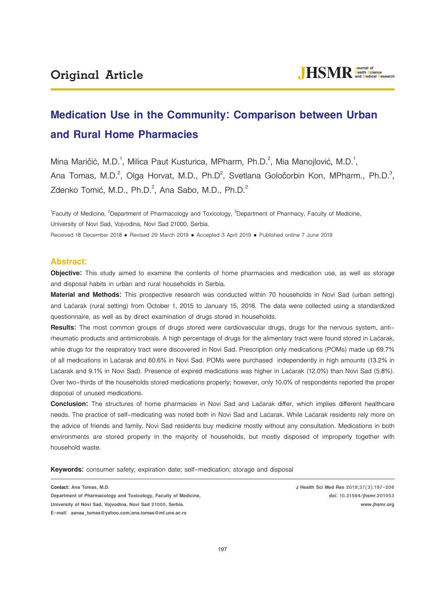# **Medication Use in the Community: Comparison between Urban and Rural Home Pharmacies**

Mina Maričić, M.D.<sup>1</sup>, Milica Paut Kusturica, MPharm, Ph.D.<sup>2</sup>, Mia Manojlović, M.D.<sup>1</sup>, Ana Tomas, M.D.<sup>2</sup>, Olga Horvat, M.D., Ph.D<sup>2</sup>, Svetlana Goločorbin Kon, MPharm., Ph.D.<sup>3</sup>, Zdenko Tomić, M.D., Ph.D. $^2$ , Ana Sabo, M.D., Ph.D. $^2$ 

<sup>1</sup> Faculty of Medicine, <sup>2</sup> Department of Pharmacology and Toxicology, <sup>3</sup> Department of Pharmacy, Faculty of Medicine, University of Novi Sad, Vojvodina, Novi Sad 21000, Serbia. Received 18 December 2018 · Revised 29 March 2019 · Accepted 3 April 2019 · Published online 7 June 2019

# **Abstract:**

**Objective:** This study aimed to examine the contents of home pharmacies and medication use, as well as storage and disposal habits in urban and rural households in Serbia.

**Material and Methods:** This prospective research was conducted within 70 households in Novi Sad (urban setting) and Laćarak (rural setting) from October 1, 2015 to January 15, 2016. The data were collected using a standardized questionnaire, as well as by direct examination of drugs stored in households.

**Results:** The most common groups of drugs stored were cardiovascular drugs, drugs for the nervous system, antirheumatic products and antimicrobials. A high percentage of drugs for the alimentary tract were found stored in Laćarak, while drugs for the respiratory tract were discovered in Novi Sad. Prescription only medications (POMs) made up 69.7% of all medications in Laćarak and 60.6% in Novi Sad. POMs were purchased independently in high amounts (13.2% in Laćarak and 9.1% in Novi Sad). Presence of expired medications was higher in Laćarak (12.0%) than Novi Sad (5.8%). Over two-thirds of the households stored medications properly; however, only 10.0% of respondents reported the proper disposal of unused medications.

**Conclusion:** The structures of home pharmacies in Novi Sad and Laćarak differ, which implies different healthcare needs. The practice of self-medicating was noted both in Novi Sad and Laćarak. While Laćarak residents rely more on the advice of friends and family, Novi Sad residents buy medicine mostly without any consultation. Medications in both environments are stored properly in the majority of households, but mostly disposed of improperly together with household waste.

**Keywords:** consumer safety; expiration date; self-medication; storage and disposal

**Contact: Ana Tomas, M.D.**

**Department of Pharmacology and Toxicology, Faculty of Medicine, University of Novi Sad, Vojvodina, Novi Sad 21000, Serbia. E-mail: aanaa\_tomas@yahoo.com;ana.tomas@mf.uns.ac.rs**

**J Health Sci Med Res 2019;37(3):197-206 doi: 10.31584/jhsmr.201953 www.jhsmr.org**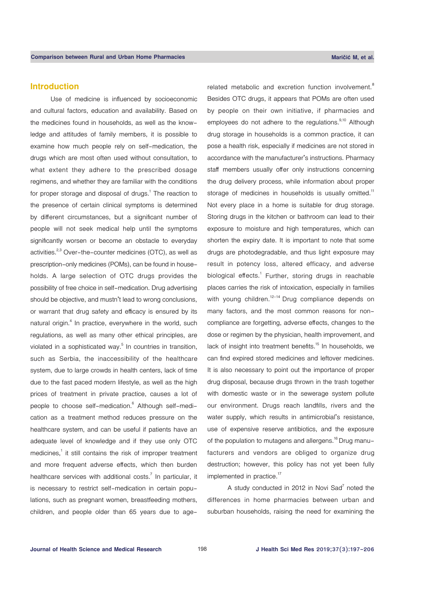# **Introduction**

Use of medicine is influenced by socioeconomic and cultural factors, education and availability. Based on the medicines found in households, as well as the knowledge and attitudes of family members, it is possible to examine how much people rely on self-medication, the drugs which are most often used without consultation, to what extent they adhere to the prescribed dosage regimens, and whether they are familiar with the conditions for proper storage and disposal of drugs. $1$  The reaction to the presence of certain clinical symptoms is determined by different circumstances, but a significant number of people will not seek medical help until the symptoms significantly worsen or become an obstacle to everyday activities.<sup>2,3</sup> Over-the-counter medicines (OTC), as well as prescription-only medicines (POMs), can be found in households. A large selection of OTC drugs provides the possibility of free choice in self-medication. Drug advertising should be objective, and mustn't lead to wrong conclusions, or warrant that drug safety and efficacy is ensured by its natural origin.<sup>4</sup> In practice, everywhere in the world, such regulations, as well as many other ethical principles, are violated in a sophisticated way. $5$  In countries in transition, such as Serbia, the inaccessibility of the healthcare system, due to large crowds in health centers, lack of time due to the fast paced modern lifestyle, as well as the high prices of treatment in private practice, causes a lot of people to choose self-medication.<sup>6</sup> Although self-medication as a treatment method reduces pressure on the healthcare system, and can be useful if patients have an adequate level of knowledge and if they use only OTC medicines, $1$  it still contains the risk of improper treatment and more frequent adverse effects, which then burden healthcare services with additional costs.<sup>7</sup> In particular, it is necessary to restrict self-medication in certain populations, such as pregnant women, breastfeeding mothers, children, and people older than 65 years due to age-

related metabolic and excretion function involvement.<sup>8</sup> Besides OTC drugs, it appears that POMs are often used by people on their own initiative, if pharmacies and employees do not adhere to the regulations.<sup>9,10</sup> Although drug storage in households is a common practice, it can pose a health risk, especially if medicines are not stored in accordance with the manufacturer's instructions. Pharmacy staff members usually offer only instructions concerning the drug delivery process, while information about proper storage of medicines in households is usually omitted.<sup>11</sup> Not every place in a home is suitable for drug storage. Storing drugs in the kitchen or bathroom can lead to their exposure to moisture and high temperatures, which can shorten the expiry date. It is important to note that some drugs are photodegradable, and thus light exposure may result in potency loss, altered efficacy, and adverse biological effects.<sup>1</sup> Further, storing drugs in reachable places carries the risk of intoxication, especially in families with young children.<sup>12-14</sup> Drug compliance depends on many factors, and the most common reasons for noncompliance are forgetting, adverse effects, changes to the dose or regimen by the physician, health improvement, and lack of insight into treatment benefits.<sup>15</sup> In households, we can find expired stored medicines and leftover medicines. It is also necessary to point out the importance of proper drug disposal, because drugs thrown in the trash together with domestic waste or in the sewerage system pollute our environment. Drugs reach landfills, rivers and the water supply, which results in antimicrobial's resistance, use of expensive reserve antibiotics, and the exposure of the population to mutagens and allergens.<sup>16</sup> Drug manufacturers and vendors are obliged to organize drug destruction; however, this policy has not yet been fully implemented in practice.<sup>17</sup>

A study conducted in 2012 in Novi Sad $^7$  noted the differences in home pharmacies between urban and suburban households, raising the need for examining the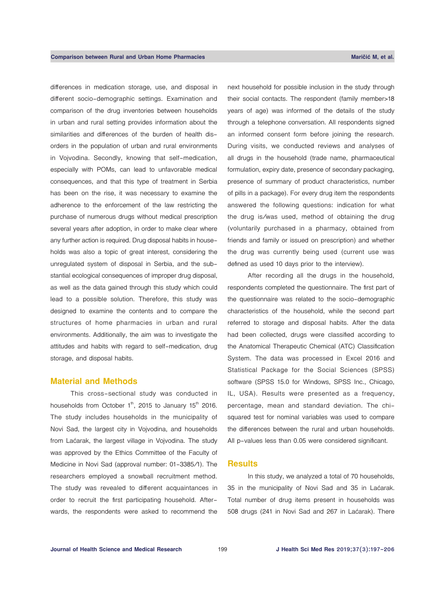differences in medication storage, use, and disposal in different socio-demographic settings. Examination and comparison of the drug inventories between households in urban and rural setting provides information about the similarities and differences of the burden of health disorders in the population of urban and rural environments in Vojvodina. Secondly, knowing that self-medication, especially with POMs, can lead to unfavorable medical consequences, and that this type of treatment in Serbia has been on the rise, it was necessary to examine the adherence to the enforcement of the law restricting the purchase of numerous drugs without medical prescription several years after adoption, in order to make clear where any further action is required. Drug disposal habits in households was also a topic of great interest, considering the unregulated system of disposal in Serbia, and the substantial ecological consequences of improper drug disposal, as well as the data gained through this study which could lead to a possible solution. Therefore, this study was designed to examine the contents and to compare the structures of home pharmacies in urban and rural environments. Additionally, the aim was to investigate the attitudes and habits with regard to self-medication, drug storage, and disposal habits.

#### **Material and Methods**

This cross-sectional study was conducted in households from October  $1<sup>th</sup>$ , 2015 to January 15<sup>th</sup> 2016. The study includes households in the municipality of Novi Sad, the largest city in Vojvodina, and households from Laćarak, the largest village in Vojvodina. The study was approved by the Ethics Committee of the Faculty of Medicine in Novi Sad (approval number: 01-3385/1). The researchers employed a snowball recruitment method. The study was revealed to different acquaintances in order to recruit the first participating household. Afterwards, the respondents were asked to recommend the

next household for possible inclusion in the study through their social contacts. The respondent (family member>18 years of age) was informed of the details of the study through a telephone conversation. All respondents signed an informed consent form before joining the research. During visits, we conducted reviews and analyses of all drugs in the household (trade name, pharmaceutical formulation, expiry date, presence of secondary packaging, presence of summary of product characteristics, number of pills in a package). For every drug item the respondents answered the following questions: indication for what the drug is/was used, method of obtaining the drug (voluntarily purchased in a pharmacy, obtained from friends and family or issued on prescription) and whether the drug was currently being used (current use was defined as used 10 days prior to the interview).

After recording all the drugs in the household, respondents completed the questionnaire. The first part of the questionnaire was related to the socio-demographic characteristics of the household, while the second part referred to storage and disposal habits. After the data had been collected, drugs were classified according to the Anatomical Therapeutic Chemical (ATC) Classification System. The data was processed in Excel 2016 and Statistical Package for the Social Sciences (SPSS) software (SPSS 15.0 for Windows, SPSS Inc., Chicago, IL, USA). Results were presented as a frequency, percentage, mean and standard deviation. The chisquared test for nominal variables was used to compare the differences between the rural and urban households. All p-values less than 0.05 were considered significant.

#### **Results**

In this study, we analyzed a total of 70 households, 35 in the municipality of Novi Sad and 35 in Laćarak. Total number of drug items present in households was 508 drugs (241 in Novi Sad and 267 in Laćarak). There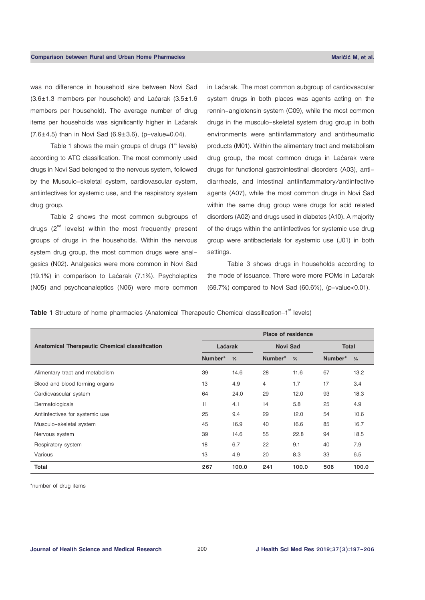was no difference in household size between Novi Sad (3.6±1.3 members per household) and Laćarak (3.5±1.6 members per household). The average number of drug items per households was significantly higher in Laćarak  $(7.6 \pm 4.5)$  than in Novi Sad  $(6.9 \pm 3.6)$ , (p-value=0.04).

Table 1 shows the main groups of drugs  $(1<sup>st</sup>$  levels) according to ATC classification. The most commonly used drugs in Novi Sad belonged to the nervous system, followed by the Musculo-skeletal system, cardiovascular system, antiinfectives for systemic use, and the respiratory system drug group.

Table 2 shows the most common subgroups of drugs  $(2^{nd}$  levels) within the most frequently present groups of drugs in the households. Within the nervous system drug group, the most common drugs were analgesics (N02). Analgesics were more common in Novi Sad (19.1%) in comparison to Laćarak (7.1%). Psycholeptics (N05) and psychoanaleptics (N06) were more common in Laćarak. The most common subgroup of cardiovascular system drugs in both places was agents acting on the rennin-angiotensin system (C09), while the most common drugs in the musculo-skeletal system drug group in both environments were antiinflammatory and antirheumatic products (M01). Within the alimentary tract and metabolism drug group, the most common drugs in Laćarak were drugs for functional gastrointestinal disorders (A03), antidiarrheals, and intestinal antiinflammatory/antiinfective agents (A07), while the most common drugs in Novi Sad within the same drug group were drugs for acid related disorders (A02) and drugs used in diabetes (A10). A majority of the drugs within the antiinfectives for systemic use drug group were antibacterials for systemic use (J01) in both settings.

Table 3 shows drugs in households according to the mode of issuance. There were more POMs in Laćarak (69.7%) compared to Novi Sad (60.6%), (p-value<0.01).

**Table 1** Structure of home pharmacies (Anatomical Therapeutic Chemical classification–1<sup>st</sup> levels)

|                                                | <b>Place of residence</b> |       |                 |               |              |               |  |  |  |
|------------------------------------------------|---------------------------|-------|-----------------|---------------|--------------|---------------|--|--|--|
| Anatomical Therapeutic Chemical classification | Laćarak                   |       | <b>Novi Sad</b> |               | <b>Total</b> |               |  |  |  |
|                                                | Number*<br>$\frac{9}{6}$  |       | Number*         | $\frac{9}{6}$ | Number*      | $\frac{9}{6}$ |  |  |  |
| Alimentary tract and metabolism                | 39                        | 14.6  | 28              | 11.6          | 67           | 13.2          |  |  |  |
| Blood and blood forming organs                 | 13                        | 4.9   | $\overline{4}$  | 1.7           | 17           | 3.4           |  |  |  |
| Cardiovascular system                          | 64                        | 24.0  | 29              | 12.0          | 93           | 18.3          |  |  |  |
| Dermatologicals                                | 11                        | 4.1   | 14              | 5.8           | 25           | 4.9           |  |  |  |
| Antiinfectives for systemic use                | 25                        | 9.4   | 29              | 12.0          | 54           | 10.6          |  |  |  |
| Musculo-skeletal system                        | 45                        | 16.9  | 40              | 16.6          | 85           | 16.7          |  |  |  |
| Nervous system                                 | 39                        | 14.6  | 55              | 22.8          | 94           | 18.5          |  |  |  |
| Respiratory system                             | 18                        | 6.7   | 22              | 9.1           | 40           | 7.9           |  |  |  |
| Various                                        | 13                        | 4.9   | 20              | 8.3           | 33           | 6.5           |  |  |  |
| Total                                          | 267                       | 100.0 | 241             | 100.0         | 508          | 100.0         |  |  |  |

\*number of drug items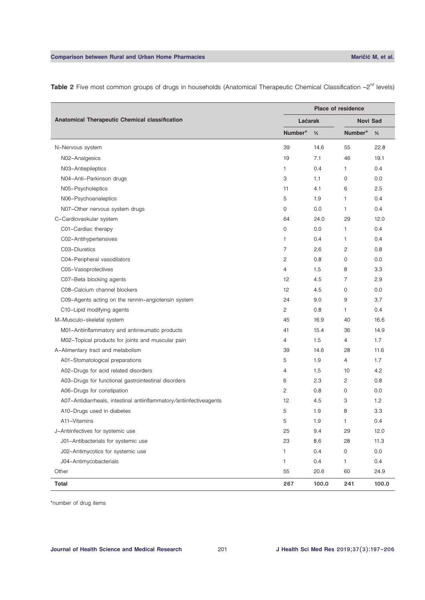|                                                                     | Place of residence |               |                 |               |  |  |  |
|---------------------------------------------------------------------|--------------------|---------------|-----------------|---------------|--|--|--|
| Anatomical Therapeutic Chemical classification                      | Laćarak            |               | <b>Novi Sad</b> |               |  |  |  |
|                                                                     | Number*            | $\frac{9}{6}$ | Number*         | $\frac{0}{2}$ |  |  |  |
| N-Nervous system                                                    | 39                 | 14.6          | 55              | 22.8          |  |  |  |
| N02-Analgesics                                                      | 19                 | 7.1           | 46              | 19.1          |  |  |  |
| N03-Antiepileptics                                                  | 1                  | 0.4           | $\mathbf{1}$    | 0.4           |  |  |  |
| N04-Anti-Parkinson drugs                                            | 3                  | 1.1           | 0               | 0.0           |  |  |  |
| N05-Psycholeptics                                                   | 11                 | 4.1           | 6               | 2.5           |  |  |  |
| N06-Psychoanaleptics                                                | 5                  | 1.9           | $\mathbf{1}$    | 0.4           |  |  |  |
| N07-Other nervous system drugs                                      | 0                  | 0.0           | 1               | 0.4           |  |  |  |
| C-Cardiovaskular system                                             | 64                 | 24.0          | 29              | 12.0          |  |  |  |
| C01-Cardiac therapy                                                 | $\mathbf 0$        | 0.0           | $\mathbf{1}$    | 0.4           |  |  |  |
| C02-Antihypertensives                                               | 1                  | 0.4           | 1               | 0.4           |  |  |  |
| C03-Diuretics                                                       | 7                  | 2.6           | $\mathbf{2}$    | 0.8           |  |  |  |
| C04-Peripheral vasodilators                                         | $\mathbf{2}$       | 0.8           | $\mathbf 0$     | 0.0           |  |  |  |
| C05-Vasoprotectives                                                 | 4                  | 1.5           | 8               | 3.3           |  |  |  |
| C07-Beta blocking agents                                            | 12                 | 4.5           | $\overline{7}$  | 2.9           |  |  |  |
| C08-Calcium channel blockers                                        | 12                 | 4.5           | 0               | 0.0           |  |  |  |
| C09-Agents acting on the rennin-angiotensin system                  | 24                 | 9.0           | 9               | 3.7           |  |  |  |
| C10-Lipid modifying agents                                          | 2                  | 0.8           | 1               | 0.4           |  |  |  |
| M-Musculo-skeletal system                                           | 45                 | 16.9          | 40              | 16.6          |  |  |  |
| M01-Antiinflammatory and antirreumatic products                     | 41                 | 15.4          | 36              | 14.9          |  |  |  |
| M02-Topical products for joints and muscular pain                   | 4                  | 1.5           | $\overline{4}$  | 1.7           |  |  |  |
| A-Alimentary tract and metabolism                                   | 39                 | 14.6          | 28              | 11.6          |  |  |  |
| A01-Stomatological preparations                                     | 5                  | 1.9           | $\overline{4}$  | 1.7           |  |  |  |
| A02-Drugs for acid related disorders                                | 4                  | 1.5           | 10              | 4.2           |  |  |  |
| A03-Drugs for functional gastrointestinal disorders                 | 6                  | 2.3           | 2               | 0.8           |  |  |  |
| A06-Drugs for constipation                                          | 2                  | 0.8           | $\mathbf 0$     | 0.0           |  |  |  |
| A07-Antidiarrheals, intestinal antiinflammatory/antiinfectiveagents | 12                 | 4.5           | 3               | 1.2           |  |  |  |
| A10-Drugs used in diabetes                                          | 5                  | 1.9           | 8               | 3.3           |  |  |  |
| A11-Vitamins                                                        | 5                  | 1.9           | 1               | 0.4           |  |  |  |
| J-Antiinfectives for systemic use                                   | 25                 | 9.4           | 29              | 12.0          |  |  |  |
| J01-Antibacterials for systemic use                                 | 23                 | 8.6           | 28              | 11.3          |  |  |  |
| J02-Antimycotics for systemic use                                   | 1                  | 0.4           | 0               | $0.0\,$       |  |  |  |
| J04-Antimycobacterials                                              | $\mathbf{1}$       | 0.4           | 1               | 0.4           |  |  |  |
| Other                                                               | 55                 | 20.6          | 60              | 24.9          |  |  |  |
| <b>Total</b>                                                        | 267                | 100.0         | 241             | 100.0         |  |  |  |

Table 2 Five most common groups of drugs in households (Anatomical Therapeutic Chemical Classification -2<sup>nd</sup> levels)

\*number of drug items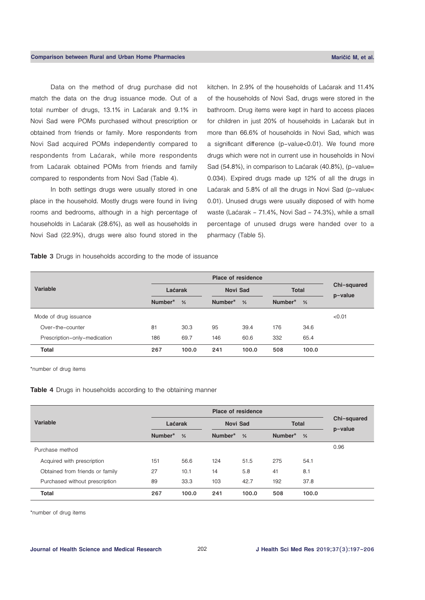Data on the method of drug purchase did not match the data on the drug issuance mode. Out of a total number of drugs, 13.1% in Laćarak and 9.1% in Novi Sad were POMs purchased without prescription or obtained from friends or family. More respondents from Novi Sad acquired POMs independently compared to respondents from Laćarak, while more respondents from Laćarak obtained POMs from friends and family compared to respondents from Novi Sad (Table 4).

In both settings drugs were usually stored in one place in the household. Mostly drugs were found in living rooms and bedrooms, although in a high percentage of households in Laćarak (28.6%), as well as households in Novi Sad (22.9%), drugs were also found stored in the kitchen. In 2.9% of the households of Laćarak and 11.4% of the households of Novi Sad, drugs were stored in the bathroom. Drug items were kept in hard to access places for children in just 20% of households in Laćarak but in more than 66.6% of households in Novi Sad, which was a significant difference (p-value<0.01). We found more drugs which were not in current use in households in Novi Sad (54.8%), in comparison to Laćarak (40.8%), (p-value= 0.034). Expired drugs made up 12% of all the drugs in Laćarak and 5.8% of all the drugs in Novi Sad (p-value< 0.01). Unused drugs were usually disposed of with home waste (Laćarak - 71.4%, Novi Sad - 74.3%), while a small percentage of unused drugs were handed over to a pharmacy (Table 5).

**Table 3** Drugs in households according to the mode of issuance

| Variable                     | Laćarak |               | <b>Novi Sad</b> |               | <b>Total</b> |               | Chi-squared<br>$p-value$ |
|------------------------------|---------|---------------|-----------------|---------------|--------------|---------------|--------------------------|
|                              | Number* | $\frac{9}{6}$ | Number*         | $\frac{9}{6}$ | Number*      | $\frac{9}{6}$ |                          |
| Mode of drug issuance        |         |               |                 |               |              |               | < 0.01                   |
| Over-the-counter             | 81      | 30.3          | 95              | 39.4          | 176          | 34.6          |                          |
| Prescription-only-medication | 186     | 69.7          | 146             | 60.6          | 332          | 65.4          |                          |
| <b>Total</b>                 | 267     | 100.0         | 241             | 100.0         | 508          | 100.0         |                          |

\*number of drug items

#### **Table 4** Drugs in households according to the obtaining manner

| Variable                        | Laćarak |               | <b>Novi Sad</b> |               | <b>Total</b> |               | Chi-squared<br>p-value |
|---------------------------------|---------|---------------|-----------------|---------------|--------------|---------------|------------------------|
|                                 | Number* | $\frac{9}{6}$ | Number*         | $\frac{6}{2}$ | Number*      | $\frac{0}{2}$ |                        |
| Purchase method                 |         |               |                 |               |              |               | 0.96                   |
| Acquired with prescription      | 151     | 56.6          | 124             | 51.5          | 275          | 54.1          |                        |
| Obtained from friends or family | 27      | 10.1          | 14              | 5.8           | 41           | 8.1           |                        |
| Purchased without prescription  | 89      | 33.3          | 103             | 42.7          | 192          | 37.8          |                        |
| <b>Total</b>                    | 267     | 100.0         | 241             | 100.0         | 508          | 100.0         |                        |

\*number of drug items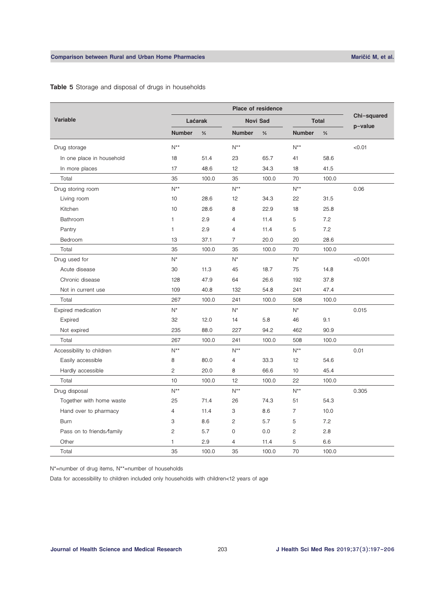| Variable                  | Laćarak                   |               | <b>Novi Sad</b>           |               | <b>Total</b>   |               | Chi-squared |
|---------------------------|---------------------------|---------------|---------------------------|---------------|----------------|---------------|-------------|
|                           | <b>Number</b>             | $\frac{9}{6}$ | <b>Number</b>             | $\frac{9}{6}$ | <b>Number</b>  | $\frac{9}{6}$ | p-value     |
| Drug storage              | $N^{**}$                  |               | $N^{**}$                  |               | $N^{**}$       |               | < 0.01      |
| In one place in household | 18                        | 51.4          | 23                        | 65.7          | 41             | 58.6          |             |
| In more places            | 17                        | 48.6          | 12                        | 34.3          | 18             | 41.5          |             |
| Total                     | 35                        | 100.0         | 35                        | 100.0         | 70             | 100.0         |             |
| Drug storing room         | $N^{**}$                  |               | $N^{**}$                  |               | $N^{**}$       |               | 0.06        |
| Living room               | 10                        | 28.6          | 12                        | 34.3          | 22             | 31.5          |             |
| Kitchen                   | 10                        | 28.6          | 8                         | 22.9          | 18             | 25.8          |             |
| Bathroom                  | 1                         | 2.9           | $\overline{4}$            | 11.4          | 5              | 7.2           |             |
| Pantry                    | 1                         | 2.9           | $\overline{4}$            | 11.4          | 5              | 7.2           |             |
| Bedroom                   | 13                        | 37.1          | $\overline{7}$            | 20.0          | 20             | 28.6          |             |
| Total                     | 35                        | 100.0         | 35                        | 100.0         | 70             | 100.0         |             |
| Drug used for             | $N^*$                     |               | $N^*$                     |               | $N^*$          |               | < 0.001     |
| Acute disease             | 30                        | 11.3          | 45                        | 18.7          | 75             | 14.8          |             |
| Chronic disease           | 128                       | 47.9          | 64                        | 26.6          | 192            | 37.8          |             |
| Not in current use        | 109                       | 40.8          | 132                       | 54.8          | 241            | 47.4          |             |
| Total                     | 267                       | 100.0         | 241                       | 100.0         | 508            | 100.0         |             |
| Expired medication        | $N^*$                     |               | $N^*$                     |               | $N^*$          |               | 0.015       |
| Expired                   | 32                        | 12.0          | 14                        | 5.8           | 46             | 9.1           |             |
| Not expired               | 235                       | 88.0          | 227                       | 94.2          | 462            | 90.9          |             |
| Total                     | 267                       | 100.0         | 241                       | 100.0         | 508            | 100.0         |             |
| Accessibility to children | $\mathsf{N}^{\star\star}$ |               | $\mathsf{N}^{\star\star}$ |               | $N^{**}$       |               | 0.01        |
| Easily accessible         | 8                         | 80.0          | $\overline{4}$            | 33.3          | 12             | 54.6          |             |
| Hardly accessible         | 2                         | 20.0          | 8                         | 66.6          | 10             | 45.4          |             |
| Total                     | 10 <sup>1</sup>           | 100.0         | 12                        | 100.0         | 22             | 100.0         |             |
| Drug disposal             | $N^{**}$                  |               | $N^{**}$                  |               | $N^{**}$       |               | 0.305       |
| Together with home waste  | 25                        | 71.4          | 26                        | 74.3          | 51             | 54.3          |             |
| Hand over to pharmacy     | 4                         | 11.4          | 3                         | 8.6           | $\overline{7}$ | 10.0          |             |
| <b>Burn</b>               | 3                         | 8.6           | $\mathbf{2}^{\prime}$     | 5.7           | 5              | 7.2           |             |
| Pass on to friends/family | 2                         | 5.7           | 0                         | 0.0           | $\overline{c}$ | 2.8           |             |
| Other                     | 1                         | 2.9           | 4                         | 11.4          | 5              | 6.6           |             |
| Total                     | 35                        | 100.0         | 35                        | 100.0         | 70             | 100.0         |             |

# **Table 5** Storage and disposal of drugs in households

N\*=number of drug items, N\*\*=number of households

Data for accessibility to children included only households with children<12 years of age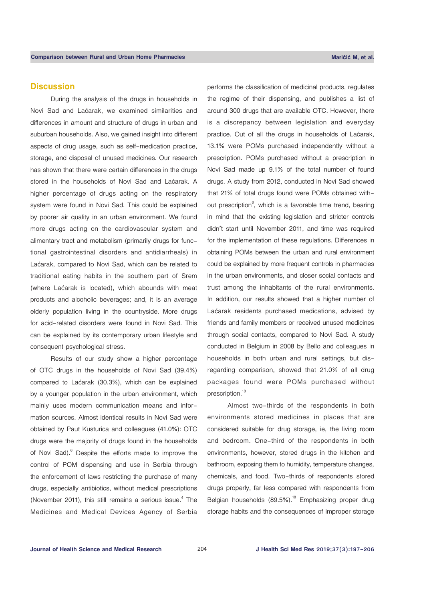# **Discussion**

During the analysis of the drugs in households in Novi Sad and Laćarak, we examined similarities and differences in amount and structure of drugs in urban and suburban households. Also, we gained insight into different aspects of drug usage, such as self-medication practice, storage, and disposal of unused medicines. Our research has shown that there were certain differences in the drugs stored in the households of Novi Sad and Laćarak. A higher percentage of drugs acting on the respiratory system were found in Novi Sad. This could be explained by poorer air quality in an urban environment. We found more drugs acting on the cardiovascular system and alimentary tract and metabolism (primarily drugs for functional gastrointestinal disorders and antidiarrheals) in Laćarak, compared to Novi Sad, which can be related to traditional eating habits in the southern part of Srem (where Laćarak is located), which abounds with meat products and alcoholic beverages; and, it is an average elderly population living in the countryside. More drugs for acid-related disorders were found in Novi Sad. This can be explained by its contemporary urban lifestyle and consequent psychological stress.

Results of our study show a higher percentage of OTC drugs in the households of Novi Sad (39.4%) compared to Laćarak (30.3%), which can be explained by a younger population in the urban environment, which mainly uses modern communication means and information sources. Almost identical results in Novi Sad were obtained by Paut Kusturica and colleagues (41.0%): OTC drugs were the majority of drugs found in the households of Novi Sad).<sup>6</sup> Despite the efforts made to improve the control of POM dispensing and use in Serbia through the enforcement of laws restricting the purchase of many drugs, especially antibiotics, without medical prescriptions (November 2011), this still remains a serious issue. $4$  The Medicines and Medical Devices Agency of Serbia

performs the classification of medicinal products, regulates the regime of their dispensing, and publishes a list of around 300 drugs that are available OTC. However, there is a discrepancy between legislation and everyday practice. Out of all the drugs in households of Laćarak, 13.1% were POMs purchased independently without a prescription. POMs purchased without a prescription in Novi Sad made up 9.1% of the total number of found drugs. A study from 2012, conducted in Novi Sad showed that 21% of total drugs found were POMs obtained without prescription<sup>6</sup>, which is a favorable time trend, bearing in mind that the existing legislation and stricter controls didn't start until November 2011, and time was required for the implementation of these regulations. Differences in obtaining POMs between the urban and rural environment could be explained by more frequent controls in pharmacies in the urban environments, and closer social contacts and trust among the inhabitants of the rural environments. In addition, our results showed that a higher number of Laćarak residents purchased medications, advised by friends and family members or received unused medicines through social contacts, compared to Novi Sad. A study conducted in Belgium in 2008 by Bello and colleagues in households in both urban and rural settings, but disregarding comparison, showed that 21.0% of all drug packages found were POMs purchased without prescription.<sup>18</sup>

Almost two-thirds of the respondents in both environments stored medicines in places that are considered suitable for drug storage, ie, the living room and bedroom. One-third of the respondents in both environments, however, stored drugs in the kitchen and bathroom, exposing them to humidity, temperature changes, chemicals, and food. Two-thirds of respondents stored drugs properly, far less compared with respondents from Belgian households (89.5%).<sup>18</sup> Emphasizing proper drug storage habits and the consequences of improper storage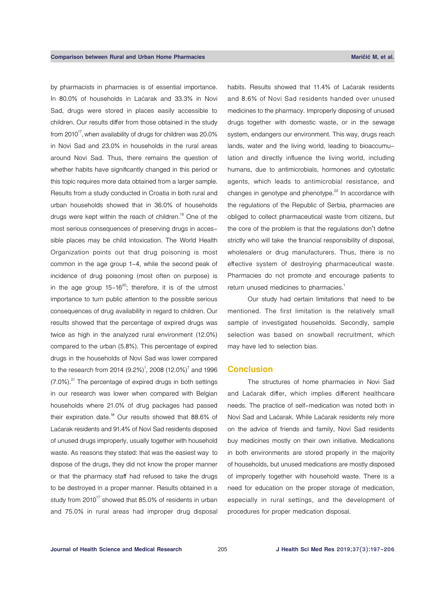by pharmacists in pharmacies is of essential importance. In 80.0% of households in Laćarak and 33.3% in Novi Sad, drugs were stored in places easily accessible to children. Our results differ from those obtained in the study from 2010<sup>17</sup>, when availability of drugs for children was  $20.0\%$ in Novi Sad and 23.0% in households in the rural areas around Novi Sad. Thus, there remains the question of whether habits have significantly changed in this period or this topic requires more data obtained from a larger sample. Results from a study conducted in Croatia in both rural and urban households showed that in 36.0% of households drugs were kept within the reach of children.<sup>19</sup> One of the most serious consequences of preserving drugs in accessible places may be child intoxication. The World Health Organization points out that drug poisoning is most common in the age group 1-4, while the second peak of incidence of drug poisoning (most often on purpose) is in the age group  $15-16^{20}$ ; therefore, it is of the utmost importance to turn public attention to the possible serious consequences of drug availability in regard to children. Our results showed that the percentage of expired drugs was twice as high in the analyzed rural environment (12.0%) compared to the urban (5.8%). This percentage of expired drugs in the households of Novi Sad was lower compared to the research from 2014  $(9.2\%)^1$ , 2008  $(12.0\%)^7$  and 1996  $(7.0\%)$ .<sup>21</sup> The percentage of expired drugs in both settings in our research was lower when compared with Belgian households where 21.0% of drug packages had passed their expiration date.<sup>18</sup> Our results showed that 88.6% of Laćarak residents and 91.4% of Novi Sad residents disposed of unused drugs improperly, usually together with household waste. As reasons they stated: that was the easiest way to dispose of the drugs, they did not know the proper manner or that the pharmacy staff had refused to take the drugs to be destroyed in a proper manner. Results obtained in a study from  $2010^{17}$  showed that 85.0% of residents in urban and 75.0% in rural areas had improper drug disposal

habits. Results showed that 11.4% of Laćarak residents and 8.6% of Novi Sad residents handed over unused medicines to the pharmacy. Improperly disposing of unused drugs together with domestic waste, or in the sewage system, endangers our environment. This way, drugs reach lands, water and the living world, leading to bioaccumulation and directly influence the living world, including humans, due to antimicrobials, hormones and cytostatic agents, which leads to antimicrobial resistance, and changes in genotype and phenotype. $22$  In accordance with the regulations of the Republic of Serbia, pharmacies are obliged to collect pharmaceutical waste from citizens, but the core of the problem is that the regulations don't define strictly who will take the financial responsibility of disposal, wholesalers or drug manufacturers. Thus, there is no effective system of destroying pharmaceutical waste. Pharmacies do not promote and encourage patients to return unused medicines to pharmacies.<sup>1</sup>

Our study had certain limitations that need to be mentioned. The first limitation is the relatively small sample of investigated households. Secondly, sample selection was based on snowball recruitment, which may have led to selection bias.

#### **Conclusion**

The structures of home pharmacies in Novi Sad and Laćarak differ, which implies different healthcare needs. The practice of self-medication was noted both in Novi Sad and Laćarak. While Laćarak residents rely more on the advice of friends and family, Novi Sad residents buy medicines mostly on their own initiative. Medications in both environments are stored properly in the majority of households, but unused medications are mostly disposed of improperly together with household waste. There is a need for education on the proper storage of medication, especially in rural settings, and the development of procedures for proper medication disposal.